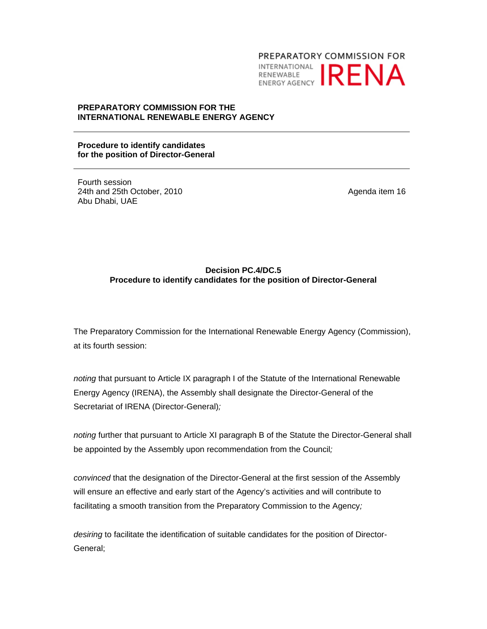PREPARATORY COMMISSION FOR **INTERNATIONAL IRENA** 

#### **PREPARATORY COMMISSION FOR THE INTERNATIONAL RENEWABLE ENERGY AGENCY**

**Procedure to identify candidates for the position of Director-General** 

Fourth session 24th and 25th October, 2010 Abu Dhabi, UAE

Agenda item 16

### **Decision PC.4/DC.5 Procedure to identify candidates for the position of Director-General**

The Preparatory Commission for the International Renewable Energy Agency (Commission), at its fourth session:

*noting* that pursuant to Article IX paragraph I of the Statute of the International Renewable Energy Agency (IRENA), the Assembly shall designate the Director-General of the Secretariat of IRENA (Director-General)*;* 

*noting* further that pursuant to Article XI paragraph B of the Statute the Director-General shall be appointed by the Assembly upon recommendation from the Council*;* 

*convinced* that the designation of the Director-General at the first session of the Assembly will ensure an effective and early start of the Agency's activities and will contribute to facilitating a smooth transition from the Preparatory Commission to the Agency*;*

*desiring* to facilitate the identification of suitable candidates for the position of Director-General;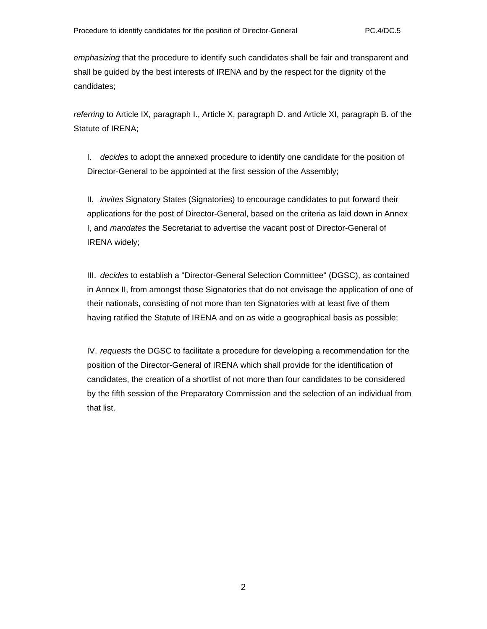*emphasizing* that the procedure to identify such candidates shall be fair and transparent and shall be guided by the best interests of IRENA and by the respect for the dignity of the candidates;

*referring* to Article IX, paragraph I., Article X, paragraph D. and Article XI, paragraph B. of the Statute of IRENA;

I. *decides* to adopt the annexed procedure to identify one candidate for the position of Director-General to be appointed at the first session of the Assembly;

II. *invites* Signatory States (Signatories) to encourage candidates to put forward their applications for the post of Director-General, based on the criteria as laid down in Annex I, and *mandates* the Secretariat to advertise the vacant post of Director-General of IRENA widely;

III. *decides* to establish a "Director-General Selection Committee" (DGSC), as contained in Annex II, from amongst those Signatories that do not envisage the application of one of their nationals, consisting of not more than ten Signatories with at least five of them having ratified the Statute of IRENA and on as wide a geographical basis as possible;

IV. *requests* the DGSC to facilitate a procedure for developing a recommendation for the position of the Director-General of IRENA which shall provide for the identification of candidates, the creation of a shortlist of not more than four candidates to be considered by the fifth session of the Preparatory Commission and the selection of an individual from that list.

2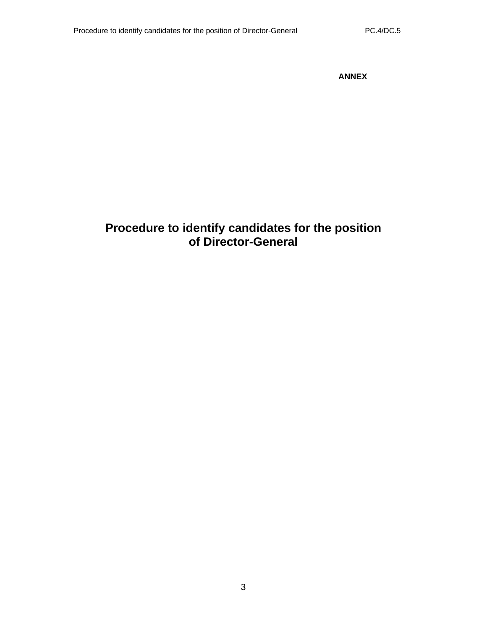**ANNEX** 

# **Procedure to identify candidates for the position of Director-General**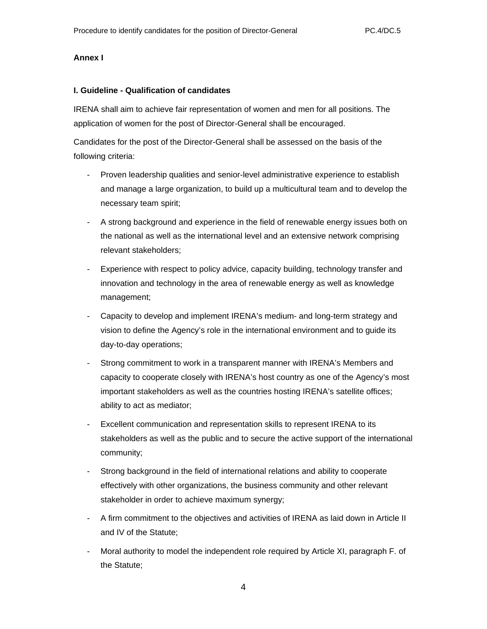#### **Annex I**

#### **I. Guideline - Qualification of candidates**

IRENA shall aim to achieve fair representation of women and men for all positions. The application of women for the post of Director-General shall be encouraged.

Candidates for the post of the Director-General shall be assessed on the basis of the following criteria:

- Proven leadership qualities and senior-level administrative experience to establish and manage a large organization, to build up a multicultural team and to develop the necessary team spirit;
- A strong background and experience in the field of renewable energy issues both on the national as well as the international level and an extensive network comprising relevant stakeholders;
- Experience with respect to policy advice, capacity building, technology transfer and innovation and technology in the area of renewable energy as well as knowledge management;
- Capacity to develop and implement IRENA's medium- and long-term strategy and vision to define the Agency's role in the international environment and to guide its day-to-day operations;
- Strong commitment to work in a transparent manner with IRENA's Members and capacity to cooperate closely with IRENA's host country as one of the Agency's most important stakeholders as well as the countries hosting IRENA's satellite offices; ability to act as mediator;
- Excellent communication and representation skills to represent IRENA to its stakeholders as well as the public and to secure the active support of the international community;
- Strong background in the field of international relations and ability to cooperate effectively with other organizations, the business community and other relevant stakeholder in order to achieve maximum synergy;
- A firm commitment to the objectives and activities of IRENA as laid down in Article II and IV of the Statute;
- Moral authority to model the independent role required by Article XI, paragraph F. of the Statute;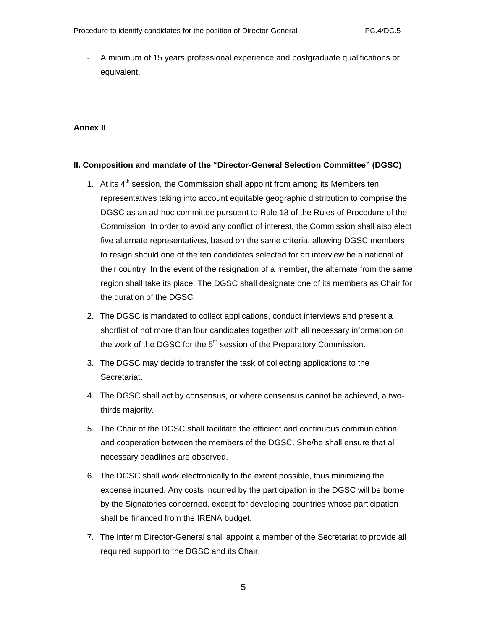- A minimum of 15 years professional experience and postgraduate qualifications or equivalent.

### **Annex II**

#### **II. Composition and mandate of the "Director-General Selection Committee" (DGSC)**

- 1. At its  $4<sup>th</sup>$  session, the Commission shall appoint from among its Members ten representatives taking into account equitable geographic distribution to comprise the DGSC as an ad-hoc committee pursuant to Rule 18 of the Rules of Procedure of the Commission. In order to avoid any conflict of interest, the Commission shall also elect five alternate representatives, based on the same criteria, allowing DGSC members to resign should one of the ten candidates selected for an interview be a national of their country. In the event of the resignation of a member, the alternate from the same region shall take its place. The DGSC shall designate one of its members as Chair for the duration of the DGSC.
- 2. The DGSC is mandated to collect applications, conduct interviews and present a shortlist of not more than four candidates together with all necessary information on the work of the DGSC for the  $5<sup>th</sup>$  session of the Preparatory Commission.
- 3. The DGSC may decide to transfer the task of collecting applications to the Secretariat.
- 4. The DGSC shall act by consensus, or where consensus cannot be achieved, a twothirds majority.
- 5. The Chair of the DGSC shall facilitate the efficient and continuous communication and cooperation between the members of the DGSC. She/he shall ensure that all necessary deadlines are observed.
- 6. The DGSC shall work electronically to the extent possible, thus minimizing the expense incurred. Any costs incurred by the participation in the DGSC will be borne by the Signatories concerned, except for developing countries whose participation shall be financed from the IRENA budget.
- 7. The Interim Director-General shall appoint a member of the Secretariat to provide all required support to the DGSC and its Chair.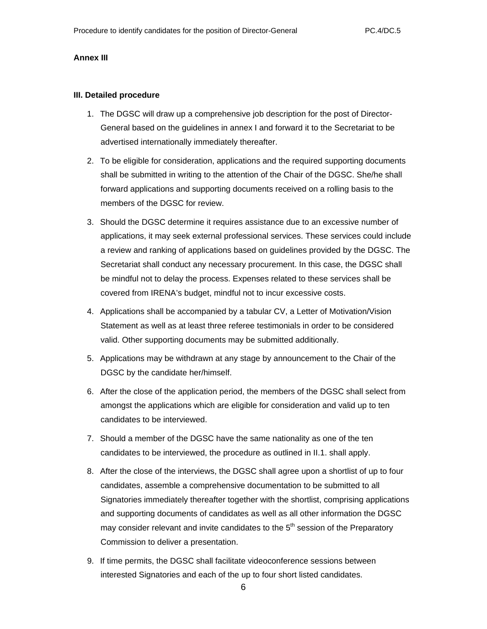#### **Annex III**

#### **III. Detailed procedure**

- 1. The DGSC will draw up a comprehensive job description for the post of Director-General based on the guidelines in annex I and forward it to the Secretariat to be advertised internationally immediately thereafter.
- 2. To be eligible for consideration, applications and the required supporting documents shall be submitted in writing to the attention of the Chair of the DGSC. She/he shall forward applications and supporting documents received on a rolling basis to the members of the DGSC for review.
- 3. Should the DGSC determine it requires assistance due to an excessive number of applications, it may seek external professional services. These services could include a review and ranking of applications based on guidelines provided by the DGSC. The Secretariat shall conduct any necessary procurement. In this case, the DGSC shall be mindful not to delay the process. Expenses related to these services shall be covered from IRENA's budget, mindful not to incur excessive costs.
- 4. Applications shall be accompanied by a tabular CV, a Letter of Motivation/Vision Statement as well as at least three referee testimonials in order to be considered valid. Other supporting documents may be submitted additionally.
- 5. Applications may be withdrawn at any stage by announcement to the Chair of the DGSC by the candidate her/himself.
- 6. After the close of the application period, the members of the DGSC shall select from amongst the applications which are eligible for consideration and valid up to ten candidates to be interviewed.
- 7. Should a member of the DGSC have the same nationality as one of the ten candidates to be interviewed, the procedure as outlined in II.1. shall apply.
- 8. After the close of the interviews, the DGSC shall agree upon a shortlist of up to four candidates, assemble a comprehensive documentation to be submitted to all Signatories immediately thereafter together with the shortlist, comprising applications and supporting documents of candidates as well as all other information the DGSC may consider relevant and invite candidates to the  $5<sup>th</sup>$  session of the Preparatory Commission to deliver a presentation.
- 9. If time permits, the DGSC shall facilitate videoconference sessions between interested Signatories and each of the up to four short listed candidates.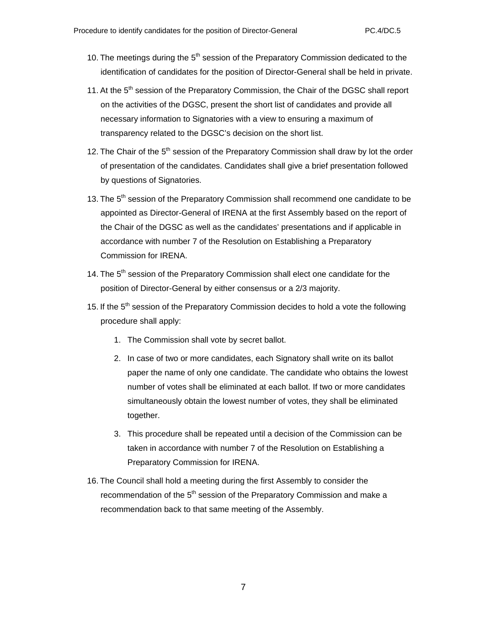- 10. The meetings during the  $5<sup>th</sup>$  session of the Preparatory Commission dedicated to the identification of candidates for the position of Director-General shall be held in private.
- 11. At the 5<sup>th</sup> session of the Preparatory Commission, the Chair of the DGSC shall report on the activities of the DGSC, present the short list of candidates and provide all necessary information to Signatories with a view to ensuring a maximum of transparency related to the DGSC's decision on the short list.
- 12. The Chair of the 5<sup>th</sup> session of the Preparatory Commission shall draw by lot the order of presentation of the candidates. Candidates shall give a brief presentation followed by questions of Signatories.
- 13. The 5<sup>th</sup> session of the Preparatory Commission shall recommend one candidate to be appointed as Director-General of IRENA at the first Assembly based on the report of the Chair of the DGSC as well as the candidates' presentations and if applicable in accordance with number 7 of the Resolution on Establishing a Preparatory Commission for IRENA.
- 14. The  $5<sup>th</sup>$  session of the Preparatory Commission shall elect one candidate for the position of Director-General by either consensus or a 2/3 majority.
- 15. If the 5<sup>th</sup> session of the Preparatory Commission decides to hold a vote the following procedure shall apply:
	- 1. The Commission shall vote by secret ballot.
	- 2. In case of two or more candidates, each Signatory shall write on its ballot paper the name of only one candidate. The candidate who obtains the lowest number of votes shall be eliminated at each ballot. If two or more candidates simultaneously obtain the lowest number of votes, they shall be eliminated together.
	- 3. This procedure shall be repeated until a decision of the Commission can be taken in accordance with number 7 of the Resolution on Establishing a Preparatory Commission for IRENA.
- 16. The Council shall hold a meeting during the first Assembly to consider the recommendation of the 5<sup>th</sup> session of the Preparatory Commission and make a recommendation back to that same meeting of the Assembly.